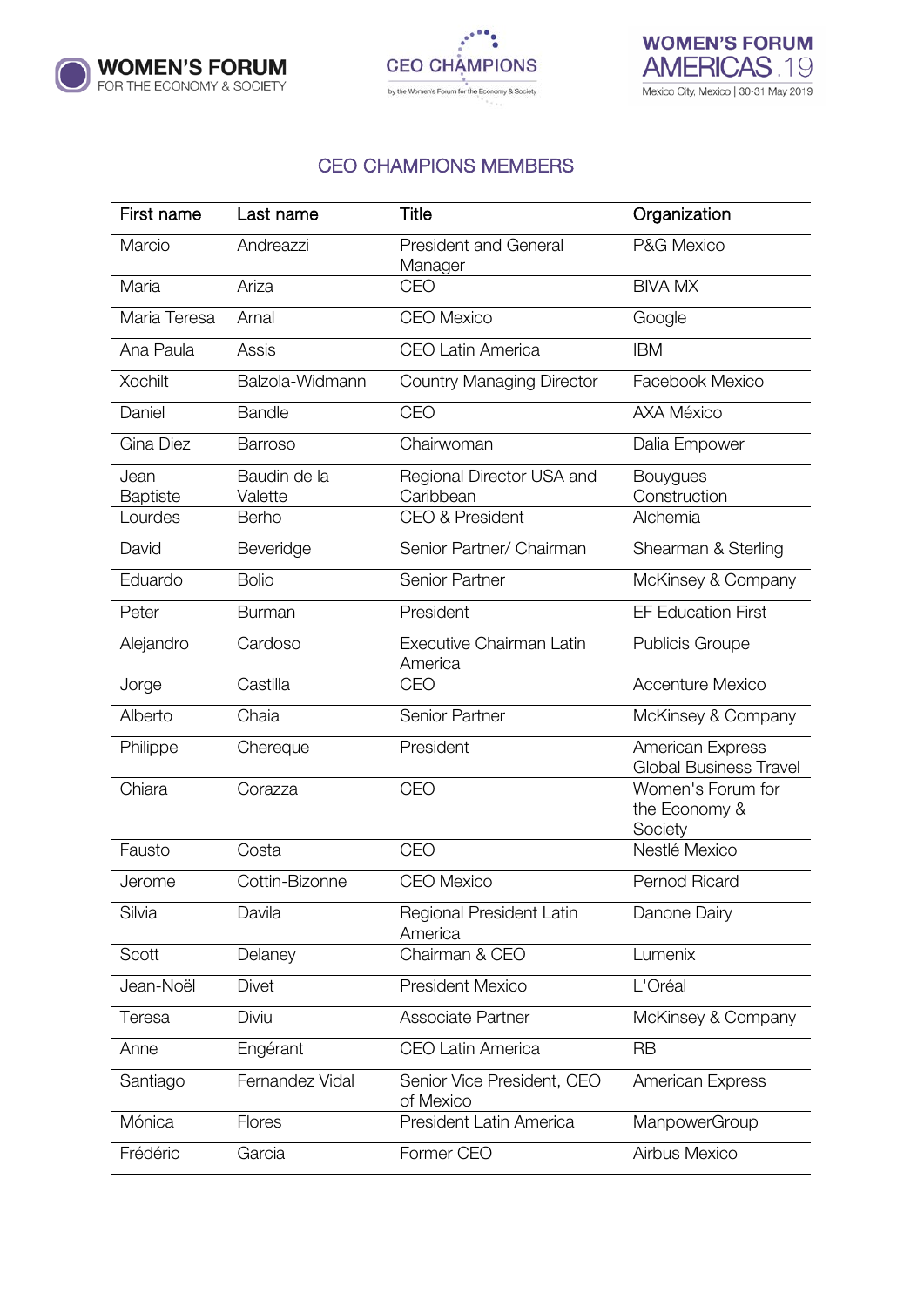





## CEO CHAMPIONS MEMBERS

| First name       | Last name               | <b>Title</b>                            | Organization                                      |
|------------------|-------------------------|-----------------------------------------|---------------------------------------------------|
| Marcio           | Andreazzi               | <b>President and General</b><br>Manager | P&G Mexico                                        |
| Maria            | Ariza                   | CEO                                     | <b>BIVA MX</b>                                    |
| Maria Teresa     | Arnal                   | <b>CEO Mexico</b>                       | Google                                            |
| Ana Paula        | Assis                   | <b>CEO Latin America</b>                | <b>IBM</b>                                        |
| <b>Xochilt</b>   | Balzola-Widmann         | <b>Country Managing Director</b>        | Facebook Mexico                                   |
| Daniel           | <b>Bandle</b>           | CEO                                     | <b>AXA México</b>                                 |
| Gina Diez        | <b>Barroso</b>          | Chairwoman                              | Dalia Empower                                     |
| Jean<br>Baptiste | Baudin de la<br>Valette | Regional Director USA and<br>Caribbean  | <b>Bouygues</b><br>Construction                   |
| Lourdes          | Berho                   | <b>CEO &amp; President</b>              | Alchemia                                          |
| David            | Beveridge               | Senior Partner/ Chairman                | Shearman & Sterling                               |
| Eduardo          | <b>Bolio</b>            | Senior Partner                          | McKinsey & Company                                |
| Peter            | <b>Burman</b>           | President                               | <b>EF Education First</b>                         |
| Alejandro        | Cardoso                 | Executive Chairman Latin<br>America     | <b>Publicis Groupe</b>                            |
| Jorge            | Castilla                | CEO                                     | <b>Accenture Mexico</b>                           |
| Alberto          | Chaia                   | Senior Partner                          | McKinsey & Company                                |
| Philippe         | Chereque                | President                               | American Express<br><b>Global Business Travel</b> |
| Chiara           | Corazza                 | CEO                                     | Women's Forum for<br>the Economy &<br>Society     |
| Fausto           | Costa                   | CEO                                     | Nestlé Mexico                                     |
| Jerome           | Cottin-Bizonne          | <b>CEO</b> Mexico                       | Pernod Ricard                                     |
| Silvia           | Davila                  | Regional President Latin<br>America     | Danone Dairy                                      |
| Scott            | Delaney                 | Chairman & CEO                          | Lumenix                                           |
| Jean-Noël        | <b>Divet</b>            | <b>President Mexico</b>                 | L'Oréal                                           |
| Teresa           | Diviu                   | <b>Associate Partner</b>                | McKinsey & Company                                |
| Anne             | Engérant                | <b>CEO Latin America</b>                | <b>RB</b>                                         |
| Santiago         | Fernandez Vidal         | Senior Vice President, CEO<br>of Mexico | American Express                                  |
| Mónica           | Flores                  | President Latin America                 | ManpowerGroup                                     |
| Frédéric         | Garcia                  | Former CEO                              | Airbus Mexico                                     |